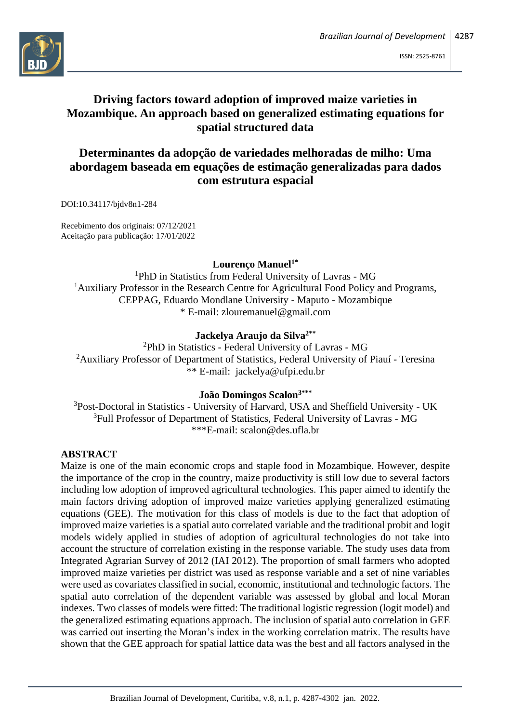

# **Driving factors toward adoption of improved maize varieties in Mozambique. An approach based on generalized estimating equations for spatial structured data**

# **Determinantes da adopção de variedades melhoradas de milho: Uma abordagem baseada em equações de estimação generalizadas para dados com estrutura espacial**

DOI:10.34117/bjdv8n1-284

Recebimento dos originais: 07/12/2021 Aceitação para publicação: 17/01/2022

## **Lourenço Manuel1\***

<sup>1</sup>PhD in Statistics from Federal University of Lavras - MG <sup>1</sup>Auxiliary Professor in the Research Centre for Agricultural Food Policy and Programs, CEPPAG, Eduardo Mondlane University - Maputo - Mozambique \* E-mail: [zlouremanuel@gmail.com](mailto:zlouremanuel@gmail.com)

# **Jackelya Araujo da Silva2\*\***

<sup>2</sup>PhD in Statistics - Federal University of Lavras - MG <sup>2</sup>Auxiliary Professor of Department of Statistics, Federal University of Piauí - Teresina \*\* E-mail: [jackelya@ufpi.edu.br](mailto:jackelya@ufpi.edu.br)

## **João Domingos Scalon3\*\*\***

<sup>3</sup>Post-Doctoral in Statistics - University of Harvard, USA and Sheffield University - UK <sup>3</sup>Full Professor of Department of Statistics, Federal University of Lavras - MG \*\*\*E-mail: [scalon@des.ufla.br](mailto:scalon@des.ufla.br)

#### **ABSTRACT**

Maize is one of the main economic crops and staple food in Mozambique. However, despite the importance of the crop in the country, maize productivity is still low due to several factors including low adoption of improved agricultural technologies. This paper aimed to identify the main factors driving adoption of improved maize varieties applying generalized estimating equations (GEE). The motivation for this class of models is due to the fact that adoption of improved maize varieties is a spatial auto correlated variable and the traditional probit and logit models widely applied in studies of adoption of agricultural technologies do not take into account the structure of correlation existing in the response variable. The study uses data from Integrated Agrarian Survey of 2012 (IAI 2012). The proportion of small farmers who adopted improved maize varieties per district was used as response variable and a set of nine variables were used as covariates classified in social, economic, institutional and technologic factors. The spatial auto correlation of the dependent variable was assessed by global and local Moran indexes. Two classes of models were fitted: The traditional logistic regression (logit model) and the generalized estimating equations approach. The inclusion of spatial auto correlation in GEE was carried out inserting the Moran's index in the working correlation matrix. The results have shown that the GEE approach for spatial lattice data was the best and all factors analysed in the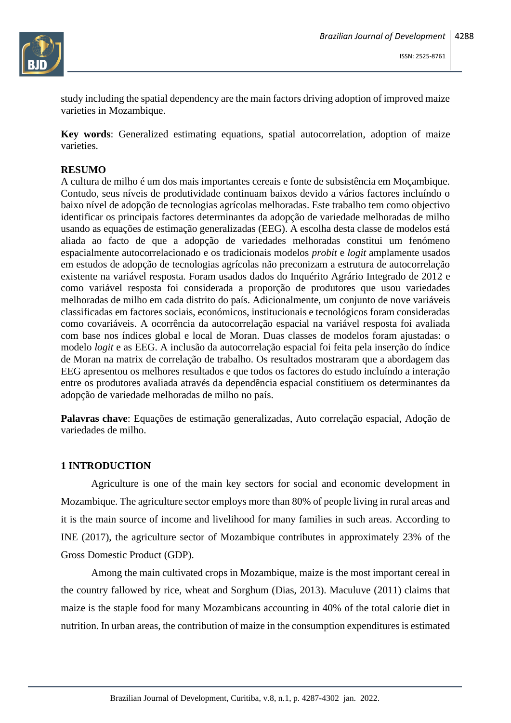

study including the spatial dependency are the main factors driving adoption of improved maize varieties in Mozambique.

**Key words**: Generalized estimating equations, spatial autocorrelation, adoption of maize varieties.

#### **RESUMO**

A cultura de milho é um dos mais importantes cereais e fonte de subsistência em Moçambique. Contudo, seus níveis de produtividade continuam baixos devido a vários factores incluíndo o baixo nível de adopção de tecnologias agrícolas melhoradas. Este trabalho tem como objectivo identificar os principais factores determinantes da adopção de variedade melhoradas de milho usando as equações de estimação generalizadas (EEG). A escolha desta classe de modelos está aliada ao facto de que a adopção de variedades melhoradas constitui um fenómeno espacialmente autocorrelacionado e os tradicionais modelos *probit* e *logit* amplamente usados em estudos de adopção de tecnologias agrícolas não preconizam a estrutura de autocorrelação existente na variável resposta. Foram usados dados do Inquérito Agrário Integrado de 2012 e como variável resposta foi considerada a proporção de produtores que usou variedades melhoradas de milho em cada distrito do país. Adicionalmente, um conjunto de nove variáveis classificadas em factores sociais, económicos, institucionais e tecnológicos foram consideradas como covariáveis. A ocorrência da autocorrelação espacial na variável resposta foi avaliada com base nos índices global e local de Moran. Duas classes de modelos foram ajustadas: o modelo *logit* e as EEG. A inclusão da autocorrelação espacial foi feita pela inserção do índice de Moran na matrix de correlação de trabalho. Os resultados mostraram que a abordagem das EEG apresentou os melhores resultados e que todos os factores do estudo incluíndo a interação entre os produtores avaliada através da dependência espacial constitiuem os determinantes da adopção de variedade melhoradas de milho no país.

**Palavras chave**: Equações de estimação generalizadas, Auto correlação espacial, Adoção de variedades de milho.

## **1 INTRODUCTION**

Agriculture is one of the main key sectors for social and economic development in Mozambique. The agriculture sector employs more than 80% of people living in rural areas and it is the main source of income and livelihood for many families in such areas. According to INE (2017), the agriculture sector of Mozambique contributes in approximately 23% of the Gross Domestic Product (GDP).

Among the main cultivated crops in Mozambique, maize is the most important cereal in the country fallowed by rice, wheat and Sorghum (Dias, 2013). Maculuve (2011) claims that maize is the staple food for many Mozambicans accounting in 40% of the total calorie diet in nutrition. In urban areas, the contribution of maize in the consumption expenditures is estimated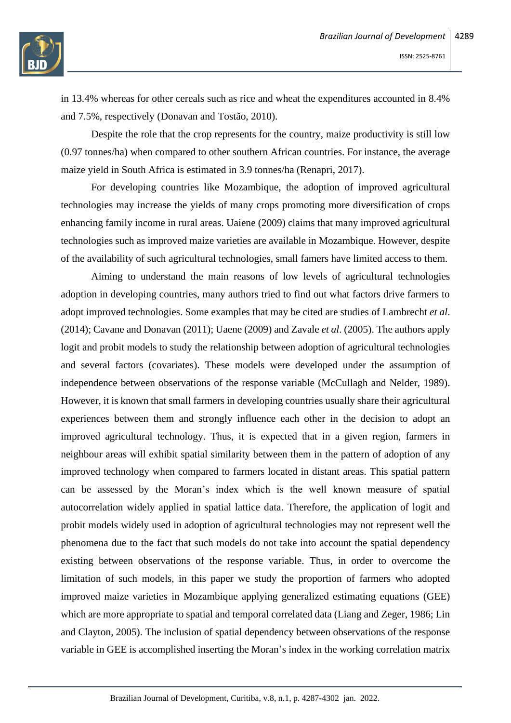

in 13.4% whereas for other cereals such as rice and wheat the expenditures accounted in 8.4% and 7.5%, respectively (Donavan and Tostão, 2010).

Despite the role that the crop represents for the country, maize productivity is still low (0.97 tonnes/ha) when compared to other southern African countries. For instance, the average maize yield in South Africa is estimated in 3.9 tonnes/ha (Renapri, 2017).

For developing countries like Mozambique, the adoption of improved agricultural technologies may increase the yields of many crops promoting more diversification of crops enhancing family income in rural areas. Uaiene (2009) claims that many improved agricultural technologies such as improved maize varieties are available in Mozambique. However, despite of the availability of such agricultural technologies, small famers have limited access to them.

Aiming to understand the main reasons of low levels of agricultural technologies adoption in developing countries, many authors tried to find out what factors drive farmers to adopt improved technologies. Some examples that may be cited are studies of Lambrecht *et al*. (2014); Cavane and Donavan (2011); Uaene (2009) and Zavale *et al*. (2005). The authors apply logit and probit models to study the relationship between adoption of agricultural technologies and several factors (covariates). These models were developed under the assumption of independence between observations of the response variable (McCullagh and Nelder, 1989). However, it is known that small farmers in developing countries usually share their agricultural experiences between them and strongly influence each other in the decision to adopt an improved agricultural technology. Thus, it is expected that in a given region, farmers in neighbour areas will exhibit spatial similarity between them in the pattern of adoption of any improved technology when compared to farmers located in distant areas. This spatial pattern can be assessed by the Moran's index which is the well known measure of spatial autocorrelation widely applied in spatial lattice data. Therefore, the application of logit and probit models widely used in adoption of agricultural technologies may not represent well the phenomena due to the fact that such models do not take into account the spatial dependency existing between observations of the response variable. Thus, in order to overcome the limitation of such models, in this paper we study the proportion of farmers who adopted improved maize varieties in Mozambique applying generalized estimating equations (GEE) which are more appropriate to spatial and temporal correlated data (Liang and Zeger, 1986; Lin and Clayton, 2005). The inclusion of spatial dependency between observations of the response variable in GEE is accomplished inserting the Moran's index in the working correlation matrix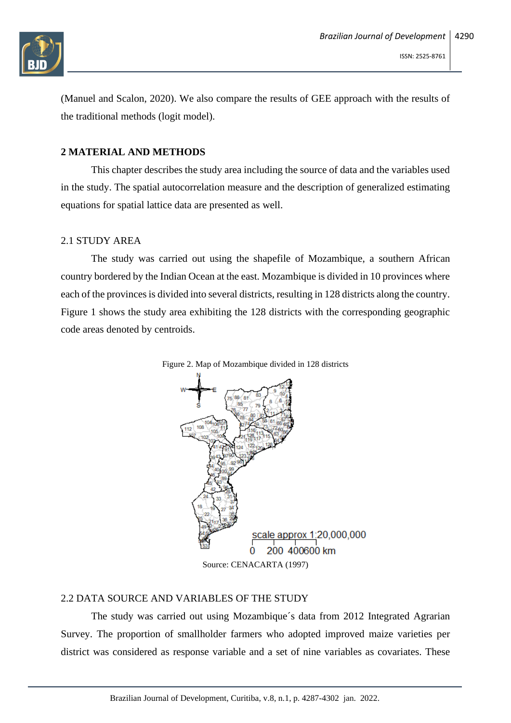

(Manuel and Scalon, 2020). We also compare the results of GEE approach with the results of the traditional methods (logit model).

## **2 MATERIAL AND METHODS**

This chapter describes the study area including the source of data and the variables used in the study. The spatial autocorrelation measure and the description of generalized estimating equations for spatial lattice data are presented as well.

#### 2.1 STUDY AREA

The study was carried out using the shapefile of Mozambique, a southern African country bordered by the Indian Ocean at the east. Mozambique is divided in 10 provinces where each of the provinces is divided into several districts, resulting in 128 districts along the country. Figure 1 shows the study area exhibiting the 128 districts with the corresponding geographic code areas denoted by centroids.



#### 2.2 DATA SOURCE AND VARIABLES OF THE STUDY

The study was carried out using Mozambique´s data from 2012 Integrated Agrarian Survey. The proportion of smallholder farmers who adopted improved maize varieties per district was considered as response variable and a set of nine variables as covariates. These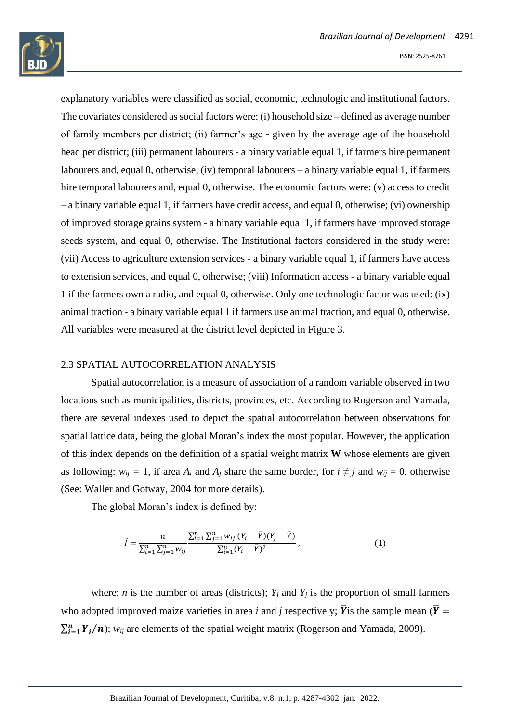

explanatory variables were classified as social, economic, technologic and institutional factors. The covariates considered as social factors were: (i) household size – defined as average number of family members per district; (ii) farmer's age - given by the average age of the household head per district; (iii) permanent labourers - a binary variable equal 1, if farmers hire permanent labourers and, equal 0, otherwise; (iv) temporal labourers – a binary variable equal 1, if farmers hire temporal labourers and, equal 0, otherwise. The economic factors were: (v) access to credit – a binary variable equal 1, if farmers have credit access, and equal 0, otherwise; (vi) ownership of improved storage grains system - a binary variable equal 1, if farmers have improved storage seeds system, and equal 0, otherwise. The Institutional factors considered in the study were: (vii) Access to agriculture extension services - a binary variable equal 1, if farmers have access to extension services, and equal 0, otherwise; (viii) Information access - a binary variable equal 1 if the farmers own a radio, and equal 0, otherwise. Only one technologic factor was used: (ix) animal traction - a binary variable equal 1 if farmers use animal traction, and equal 0, otherwise. All variables were measured at the district level depicted in Figure 3.

#### 2.3 SPATIAL AUTOCORRELATION ANALYSIS

Spatial autocorrelation is a measure of association of a random variable observed in two locations such as municipalities, districts, provinces, etc. According to Rogerson and Yamada, there are several indexes used to depict the spatial autocorrelation between observations for spatial lattice data, being the global Moran's index the most popular. However, the application of this index depends on the definition of a spatial weight matrix **W** whose elements are given as following:  $w_{ij} = 1$ , if area  $A_i$  and  $A_j$  share the same border, for  $i \neq j$  and  $w_{ij} = 0$ , otherwise (See: Waller and Gotway, 2004 for more details).

The global Moran's index is defined by:

$$
\hat{I} = \frac{n}{\sum_{i=1}^{n} \sum_{j=1}^{n} w_{ij}} \frac{\sum_{i=1}^{n} \sum_{j=1}^{n} w_{ij} (Y_i - \bar{Y})(Y_j - \bar{Y})}{\sum_{i=1}^{n} (Y_i - \bar{Y})^2},
$$
\n(1)

where: *n* is the number of areas (districts);  $Y_i$  and  $Y_j$  is the proportion of small farmers who adopted improved maize varieties in area *i* and *j* respectively;  $\overline{Y}$  is the sample mean ( $\overline{Y}$  =  $\sum_{i=1}^{n} Y_i/n$ ; *w<sub>ij</sub>* are elements of the spatial weight matrix (Rogerson and Yamada, 2009).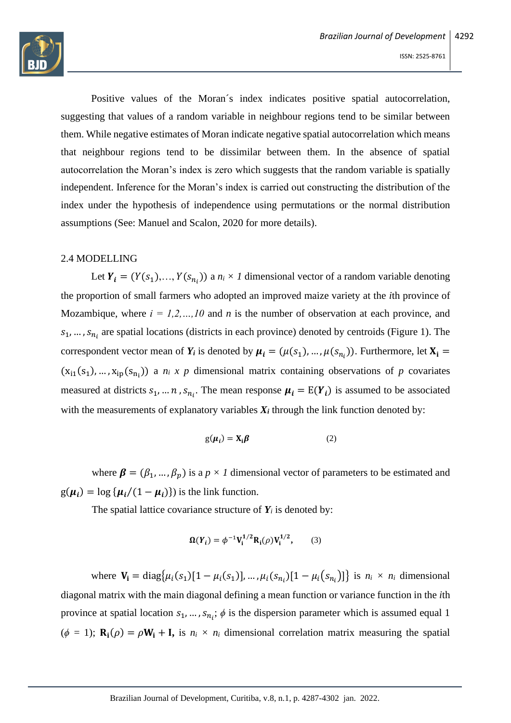

Positive values of the Moran´s index indicates positive spatial autocorrelation, suggesting that values of a random variable in neighbour regions tend to be similar between them. While negative estimates of Moran indicate negative spatial autocorrelation which means that neighbour regions tend to be dissimilar between them. In the absence of spatial autocorrelation the Moran's index is zero which suggests that the random variable is spatially independent. Inference for the Moran's index is carried out constructing the distribution of the index under the hypothesis of independence using permutations or the normal distribution assumptions (See: Manuel and Scalon, 2020 for more details).

#### 2.4 MODELLING

Let  $Y_i = (Y(s_1),..., Y(s_{n_i}))$  a  $n_i \times I$  dimensional vector of a random variable denoting the proportion of small farmers who adopted an improved maize variety at the *i*th province of Mozambique, where  $i = 1, 2, ..., 10$  and *n* is the number of observation at each province, and  $s_1, ..., s_{n_i}$  are spatial locations (districts in each province) denoted by centroids (Figure 1). The correspondent vector mean of  $Y_i$  is denoted by  $\mu_i = (\mu(s_1), ..., \mu(s_{n_i}))$ . Furthermore, let  $X_i =$  $(x_{i1}(s_1),...,x_{ip}(s_{n_i}))$  a  $n_i \times p$  dimensional matrix containing observations of  $p$  covariates measured at districts  $s_1, ..., n$ ,  $s_{n_i}$ . The mean response  $\mu_i = E(Y_i)$  is assumed to be associated with the measurements of explanatory variables  $X_i$  through the link function denoted by:

$$
g(\mu_i) = X_i \beta \tag{2}
$$

where  $\beta = (\beta_1, ..., \beta_p)$  is a  $p \times 1$  dimensional vector of parameters to be estimated and  $g(\mu_i) = \log {\{\mu_i/(1 - \mu_i)\}}$  is the link function.

The spatial lattice covariance structure of  $Y_i$  is denoted by:

$$
\Omega(Y_i) = \phi^{-1} V_i^{1/2} R_i(\rho) V_i^{1/2},
$$
 (3)

where  $V_i = \text{diag}\{\mu_i(s_1)[1 - \mu_i(s_1)], ..., \mu_i(s_{n_i})[1 - \mu_i(s_{n_i})]\}$  is  $n_i \times n_i$  dimensional diagonal matrix with the main diagonal defining a mean function or variance function in the *i*th province at spatial location  $s_1, ..., s_{n_i}$ ;  $\phi$  is the dispersion parameter which is assumed equal 1  $(\phi = 1)$ ;  $\mathbf{R}_i(\rho) = \rho \mathbf{W}_i + \mathbf{I}$ , is  $n_i \times n_i$  dimensional correlation matrix measuring the spatial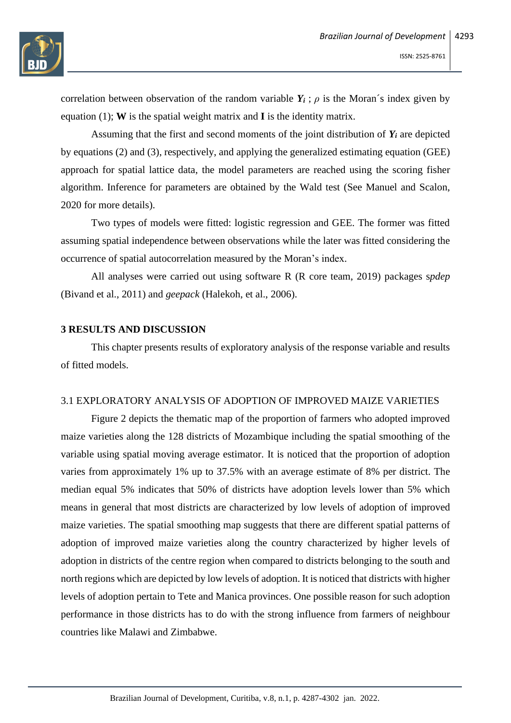

correlation between observation of the random variable  $Y_i$ ;  $\rho$  is the Moran's index given by equation (1); **W** is the spatial weight matrix and **I** is the identity matrix.

Assuming that the first and second moments of the joint distribution of  $Y_i$  are depicted by equations (2) and (3), respectively, and applying the generalized estimating equation (GEE) approach for spatial lattice data, the model parameters are reached using the scoring fisher algorithm. Inference for parameters are obtained by the Wald test (See Manuel and Scalon, 2020 for more details).

Two types of models were fitted: logistic regression and GEE. The former was fitted assuming spatial independence between observations while the later was fitted considering the occurrence of spatial autocorrelation measured by the Moran's index.

All analyses were carried out using software R (R core team, 2019) packages s*pdep* (Bivand et al., 2011) and *geepack* (Halekoh, et al., 2006).

# **3 RESULTS AND DISCUSSION**

This chapter presents results of exploratory analysis of the response variable and results of fitted models.

#### 3.1 EXPLORATORY ANALYSIS OF ADOPTION OF IMPROVED MAIZE VARIETIES

Figure 2 depicts the thematic map of the proportion of farmers who adopted improved maize varieties along the 128 districts of Mozambique including the spatial smoothing of the variable using spatial moving average estimator. It is noticed that the proportion of adoption varies from approximately 1% up to 37.5% with an average estimate of 8% per district. The median equal 5% indicates that 50% of districts have adoption levels lower than 5% which means in general that most districts are characterized by low levels of adoption of improved maize varieties. The spatial smoothing map suggests that there are different spatial patterns of adoption of improved maize varieties along the country characterized by higher levels of adoption in districts of the centre region when compared to districts belonging to the south and north regions which are depicted by low levels of adoption. It is noticed that districts with higher levels of adoption pertain to Tete and Manica provinces. One possible reason for such adoption performance in those districts has to do with the strong influence from farmers of neighbour countries like Malawi and Zimbabwe.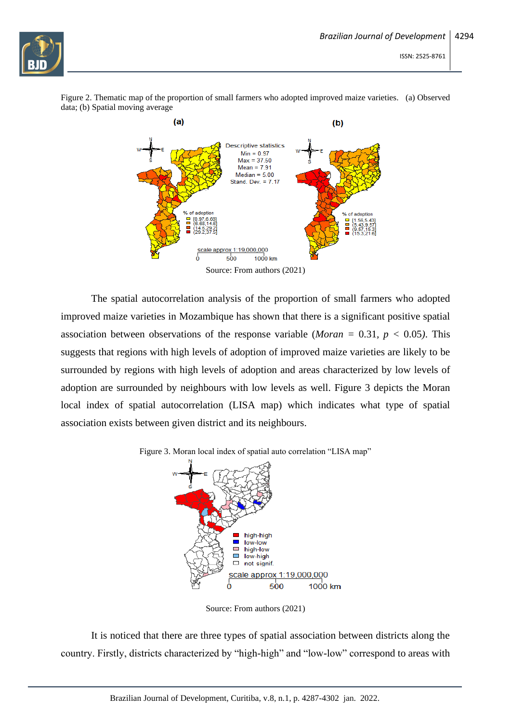

Figure 2. Thematic map of the proportion of small farmers who adopted improved maize varieties. (a) Observed data; (b) Spatial moving average



Source: From authors (2021)

The spatial autocorrelation analysis of the proportion of small farmers who adopted improved maize varieties in Mozambique has shown that there is a significant positive spatial association between observations of the response variable (*Moran* = 0.31,  $p < 0.05$ ). This suggests that regions with high levels of adoption of improved maize varieties are likely to be surrounded by regions with high levels of adoption and areas characterized by low levels of adoption are surrounded by neighbours with low levels as well. Figure 3 depicts the Moran local index of spatial autocorrelation (LISA map) which indicates what type of spatial association exists between given district and its neighbours.





Source: From authors (2021)

It is noticed that there are three types of spatial association between districts along the country. Firstly, districts characterized by "high-high" and "low-low" correspond to areas with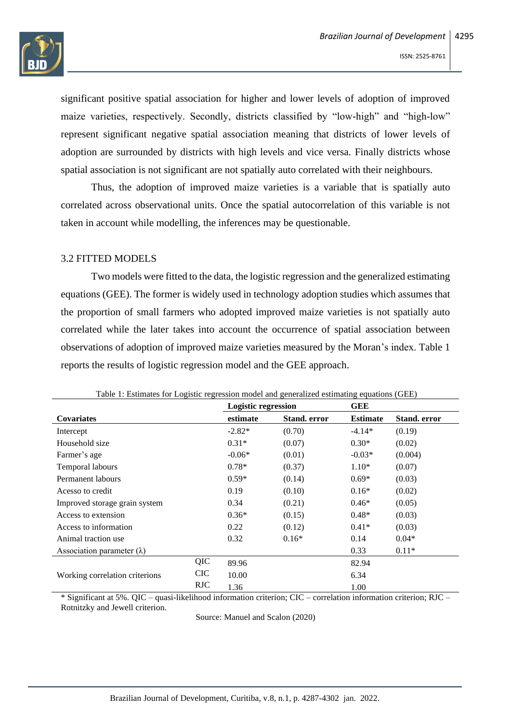

significant positive spatial association for higher and lower levels of adoption of improved maize varieties, respectively. Secondly, districts classified by "low-high" and "high-low" represent significant negative spatial association meaning that districts of lower levels of adoption are surrounded by districts with high levels and vice versa. Finally districts whose spatial association is not significant are not spatially auto correlated with their neighbours.

Thus, the adoption of improved maize varieties is a variable that is spatially auto correlated across observational units. Once the spatial autocorrelation of this variable is not taken in account while modelling, the inferences may be questionable.

## 3.2 FITTED MODELS

Two models were fitted to the data, the logistic regression and the generalized estimating equations (GEE). The former is widely used in technology adoption studies which assumes that the proportion of small farmers who adopted improved maize varieties is not spatially auto correlated while the later takes into account the occurrence of spatial association between observations of adoption of improved maize varieties measured by the Moran's index. Table 1 reports the results of logistic regression model and the GEE approach.

|                                   |            | Tubic 1. Estimates for Eugestic regression moder and generalized estimating equations (GEE)<br><b>Logistic regression</b> |                     | GEE             |                     |
|-----------------------------------|------------|---------------------------------------------------------------------------------------------------------------------------|---------------------|-----------------|---------------------|
| <b>Covariates</b>                 |            | estimate                                                                                                                  | <b>Stand.</b> error | <b>Estimate</b> | <b>Stand.</b> error |
| Intercept                         |            | $-2.82*$                                                                                                                  | (0.70)              | $-4.14*$        | (0.19)              |
| Household size                    |            | $0.31*$                                                                                                                   | (0.07)              | $0.30*$         | (0.02)              |
| Farmer's age                      |            | $-0.06*$                                                                                                                  | (0.01)              | $-0.03*$        | (0.004)             |
| Temporal labours                  |            | $0.78*$                                                                                                                   | (0.37)              | $1.10*$         | (0.07)              |
| Permanent labours                 |            | $0.59*$                                                                                                                   | (0.14)              | $0.69*$         | (0.03)              |
| Acesso to credit                  |            | 0.19                                                                                                                      | (0.10)              | $0.16*$         | (0.02)              |
| Improved storage grain system     |            | 0.34                                                                                                                      | (0.21)              | $0.46*$         | (0.05)              |
| Access to extension               |            | $0.36*$                                                                                                                   | (0.15)              | $0.48*$         | (0.03)              |
| Access to information             |            | 0.22                                                                                                                      | (0.12)              | $0.41*$         | (0.03)              |
| Animal traction use               |            | 0.32                                                                                                                      | $0.16*$             | 0.14            | $0.04*$             |
| Association parameter $(\lambda)$ |            |                                                                                                                           |                     | 0.33            | $0.11*$             |
| Working correlation criterions    | QIC        | 89.96                                                                                                                     |                     | 82.94           |                     |
|                                   | <b>CIC</b> | 10.00                                                                                                                     |                     | 6.34            |                     |
|                                   | <b>RJC</b> | 1.36                                                                                                                      |                     | 1.00            |                     |

Table 1: Estimates for Logistic regression model and generalized estimating equations (GEE)

\* Significant at 5%. QIC – quasi-likelihood information criterion; CIC – correlation information criterion; RJC – Rotnitzky and Jewell criterion.

Source: Manuel and Scalon (2020)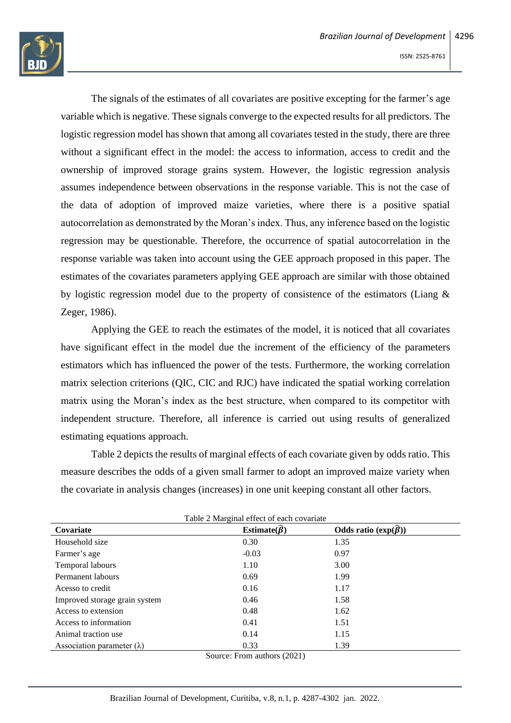

The signals of the estimates of all covariates are positive excepting for the farmer's age variable which is negative. These signals converge to the expected results for all predictors. The logistic regression model has shown that among all covariates tested in the study, there are three without a significant effect in the model: the access to information, access to credit and the ownership of improved storage grains system. However, the logistic regression analysis assumes independence between observations in the response variable. This is not the case of the data of adoption of improved maize varieties, where there is a positive spatial autocorrelation as demonstrated by the Moran's index. Thus, any inference based on the logistic regression may be questionable. Therefore, the occurrence of spatial autocorrelation in the response variable was taken into account using the GEE approach proposed in this paper. The estimates of the covariates parameters applying GEE approach are similar with those obtained by logistic regression model due to the property of consistence of the estimators (Liang & Zeger, 1986).

Applying the GEE to reach the estimates of the model, it is noticed that all covariates have significant effect in the model due the increment of the efficiency of the parameters estimators which has influenced the power of the tests. Furthermore, the working correlation matrix selection criterions (QIC, CIC and RJC) have indicated the spatial working correlation matrix using the Moran's index as the best structure, when compared to its competitor with independent structure. Therefore, all inference is carried out using results of generalized estimating equations approach.

Table 2 depicts the results of marginal effects of each covariate given by odds ratio. This measure describes the odds of a given small farmer to adopt an improved maize variety when the covariate in analysis changes (increases) in one unit keeping constant all other factors.

| Table 2 Marginal effect of each covariate |                               |                                  |  |  |  |
|-------------------------------------------|-------------------------------|----------------------------------|--|--|--|
| Covariate                                 | Estimate( $\widehat{\beta}$ ) | Odds ratio $(\exp(\vec{\beta}))$ |  |  |  |
| Household size                            | 0.30                          | 1.35                             |  |  |  |
| Farmer's age                              | $-0.03$                       | 0.97                             |  |  |  |
| Temporal labours                          | 1.10                          | 3.00                             |  |  |  |
| Permanent labours                         | 0.69                          | 1.99                             |  |  |  |
| Acesso to credit                          | 0.16                          | 1.17                             |  |  |  |
| Improved storage grain system             | 0.46                          | 1.58                             |  |  |  |
| Access to extension                       | 0.48                          | 1.62                             |  |  |  |
| Access to information                     | 0.41                          | 1.51                             |  |  |  |
| Animal traction use                       | 0.14                          | 1.15                             |  |  |  |
| Association parameter $(\lambda)$         | 0.33                          | 1.39                             |  |  |  |
|                                           | $C = \nabla$ $A = (0.001)$    |                                  |  |  |  |

Source: From authors (2021)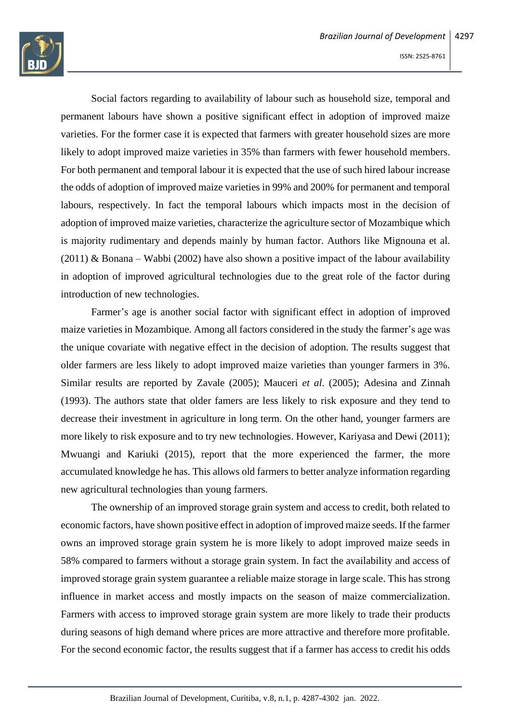

Social factors regarding to availability of labour such as household size, temporal and permanent labours have shown a positive significant effect in adoption of improved maize varieties. For the former case it is expected that farmers with greater household sizes are more likely to adopt improved maize varieties in 35% than farmers with fewer household members. For both permanent and temporal labour it is expected that the use of such hired labour increase the odds of adoption of improved maize varieties in 99% and 200% for permanent and temporal labours, respectively. In fact the temporal labours which impacts most in the decision of adoption of improved maize varieties, characterize the agriculture sector of Mozambique which is majority rudimentary and depends mainly by human factor. Authors like Mignouna et al. (2011) & Bonana – Wabbi (2002) have also shown a positive impact of the labour availability in adoption of improved agricultural technologies due to the great role of the factor during introduction of new technologies.

Farmer's age is another social factor with significant effect in adoption of improved maize varieties in Mozambique. Among all factors considered in the study the farmer's age was the unique covariate with negative effect in the decision of adoption. The results suggest that older farmers are less likely to adopt improved maize varieties than younger farmers in 3%. Similar results are reported by Zavale (2005); Mauceri *et al*. (2005); Adesina and Zinnah (1993). The authors state that older famers are less likely to risk exposure and they tend to decrease their investment in agriculture in long term. On the other hand, younger farmers are more likely to risk exposure and to try new technologies. However, Kariyasa and Dewi (2011); Mwuangi and Kariuki (2015), report that the more experienced the farmer, the more accumulated knowledge he has. This allows old farmers to better analyze information regarding new agricultural technologies than young farmers.

The ownership of an improved storage grain system and access to credit, both related to economic factors, have shown positive effect in adoption of improved maize seeds. If the farmer owns an improved storage grain system he is more likely to adopt improved maize seeds in 58% compared to farmers without a storage grain system. In fact the availability and access of improved storage grain system guarantee a reliable maize storage in large scale. This has strong influence in market access and mostly impacts on the season of maize commercialization. Farmers with access to improved storage grain system are more likely to trade their products during seasons of high demand where prices are more attractive and therefore more profitable. For the second economic factor, the results suggest that if a farmer has access to credit his odds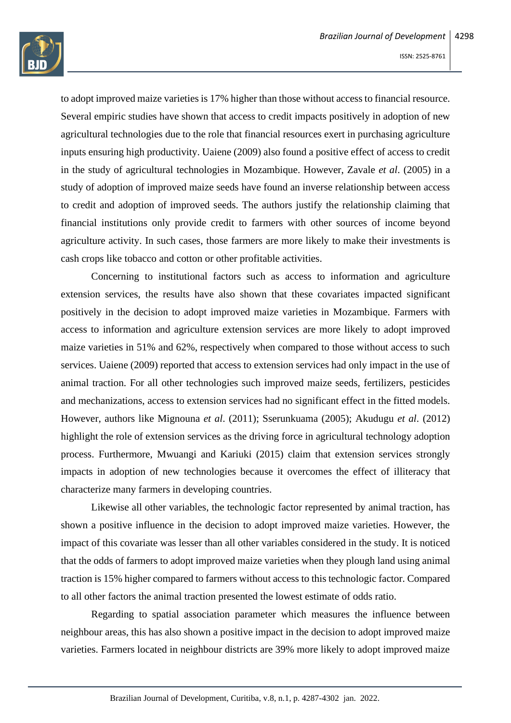

to adopt improved maize varieties is 17% higher than those without access to financial resource. Several empiric studies have shown that access to credit impacts positively in adoption of new agricultural technologies due to the role that financial resources exert in purchasing agriculture inputs ensuring high productivity. Uaiene (2009) also found a positive effect of access to credit in the study of agricultural technologies in Mozambique. However, Zavale *et al*. (2005) in a study of adoption of improved maize seeds have found an inverse relationship between access to credit and adoption of improved seeds. The authors justify the relationship claiming that financial institutions only provide credit to farmers with other sources of income beyond agriculture activity. In such cases, those farmers are more likely to make their investments is cash crops like tobacco and cotton or other profitable activities.

Concerning to institutional factors such as access to information and agriculture extension services, the results have also shown that these covariates impacted significant positively in the decision to adopt improved maize varieties in Mozambique. Farmers with access to information and agriculture extension services are more likely to adopt improved maize varieties in 51% and 62%, respectively when compared to those without access to such services. Uaiene (2009) reported that access to extension services had only impact in the use of animal traction. For all other technologies such improved maize seeds, fertilizers, pesticides and mechanizations, access to extension services had no significant effect in the fitted models. However, authors like Mignouna *et al*. (2011); Sserunkuama (2005); Akudugu *et al*. (2012) highlight the role of extension services as the driving force in agricultural technology adoption process. Furthermore, Mwuangi and Kariuki (2015) claim that extension services strongly impacts in adoption of new technologies because it overcomes the effect of illiteracy that characterize many farmers in developing countries.

Likewise all other variables, the technologic factor represented by animal traction, has shown a positive influence in the decision to adopt improved maize varieties. However, the impact of this covariate was lesser than all other variables considered in the study. It is noticed that the odds of farmers to adopt improved maize varieties when they plough land using animal traction is 15% higher compared to farmers without access to this technologic factor. Compared to all other factors the animal traction presented the lowest estimate of odds ratio.

Regarding to spatial association parameter which measures the influence between neighbour areas, this has also shown a positive impact in the decision to adopt improved maize varieties. Farmers located in neighbour districts are 39% more likely to adopt improved maize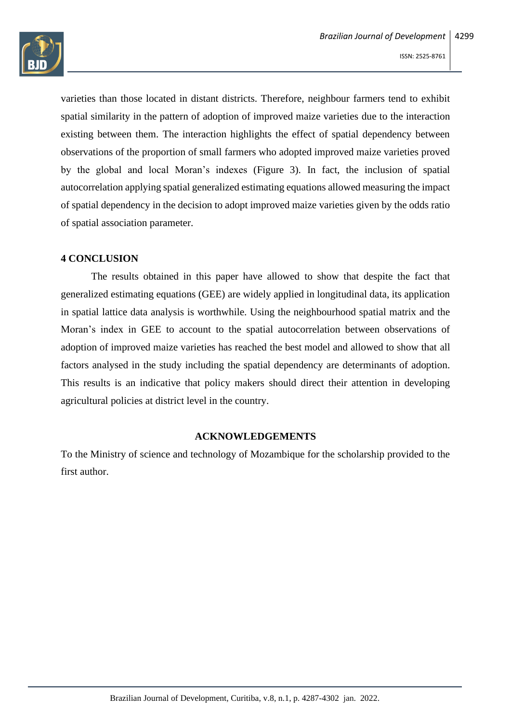

varieties than those located in distant districts. Therefore, neighbour farmers tend to exhibit spatial similarity in the pattern of adoption of improved maize varieties due to the interaction existing between them. The interaction highlights the effect of spatial dependency between observations of the proportion of small farmers who adopted improved maize varieties proved by the global and local Moran's indexes (Figure 3). In fact, the inclusion of spatial autocorrelation applying spatial generalized estimating equations allowed measuring the impact of spatial dependency in the decision to adopt improved maize varieties given by the odds ratio of spatial association parameter.

# **4 CONCLUSION**

The results obtained in this paper have allowed to show that despite the fact that generalized estimating equations (GEE) are widely applied in longitudinal data, its application in spatial lattice data analysis is worthwhile. Using the neighbourhood spatial matrix and the Moran's index in GEE to account to the spatial autocorrelation between observations of adoption of improved maize varieties has reached the best model and allowed to show that all factors analysed in the study including the spatial dependency are determinants of adoption. This results is an indicative that policy makers should direct their attention in developing agricultural policies at district level in the country.

#### **ACKNOWLEDGEMENTS**

To the Ministry of science and technology of Mozambique for the scholarship provided to the first author.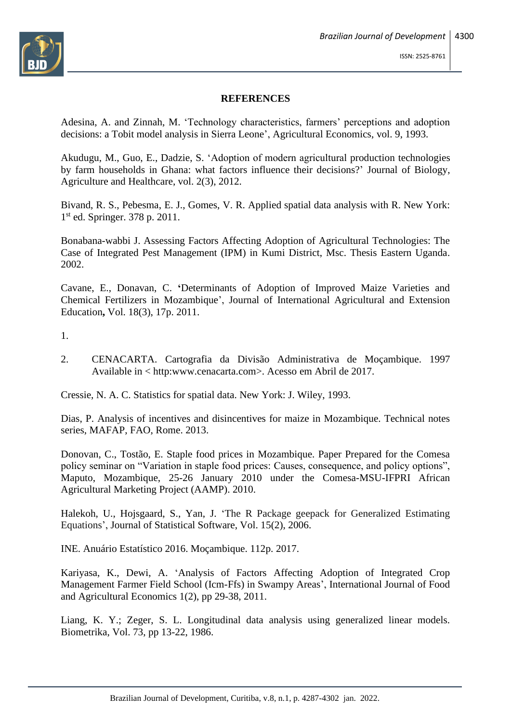

#### **REFERENCES**

Adesina, A. and Zinnah, M. 'Technology characteristics, farmers' perceptions and adoption decisions: a Tobit model analysis in Sierra Leone', Agricultural Economics, vol. 9, 1993.

Akudugu, M., Guo, E., Dadzie, S. 'Adoption of modern agricultural production technologies by farm households in Ghana: what factors influence their decisions?' Journal of Biology, Agriculture and Healthcare, vol. 2(3), 2012.

Bivand, R. S., Pebesma, E. J., Gomes, V. R. Applied spatial data analysis with R. New York: 1 st ed. Springer. 378 p. 2011.

Bonabana-wabbi J. Assessing Factors Affecting Adoption of Agricultural Technologies: The Case of Integrated Pest Management (IPM) in Kumi District, Msc. Thesis Eastern Uganda. 2002.

Cavane, E., Donavan, C. **'**Determinants of Adoption of Improved Maize Varieties and Chemical Fertilizers in Mozambique', Journal of International Agricultural and Extension Education**,** Vol. 18(3), 17p. 2011.

1.

2. CENACARTA. Cartografia da Divisão Administrativa de Moçambique. 1997 Available in < http:www.cenacarta.com>. Acesso em Abril de 2017.

Cressie, N. A. C. Statistics for spatial data. New York: J. Wiley, 1993.

Dias, P. Analysis of incentives and disincentives for maize in Mozambique. Technical notes series, MAFAP, FAO, Rome. 2013.

Donovan, C., Tostão, E. Staple food prices in Mozambique. Paper Prepared for the Comesa policy seminar on "Variation in staple food prices: Causes, consequence, and policy options", Maputo, Mozambique, 25-26 January 2010 under the Comesa-MSU-IFPRI African Agricultural Marketing Project (AAMP). 2010.

Halekoh, U., Hojsgaard, S., Yan, J. 'The R Package geepack for Generalized Estimating Equations', Journal of Statistical Software, Vol. 15(2), 2006.

INE. Anuário Estatístico 2016. Moçambique. 112p. 2017.

Kariyasa, K., Dewi, A. 'Analysis of Factors Affecting Adoption of Integrated Crop Management Farmer Field School (Icm-Ffs) in Swampy Areas', International Journal of Food and Agricultural Economics 1(2), pp 29-38, 2011.

Liang, K. Y.; Zeger, S. L. Longitudinal data analysis using generalized linear models. Biometrika, Vol. 73, pp 13-22, 1986.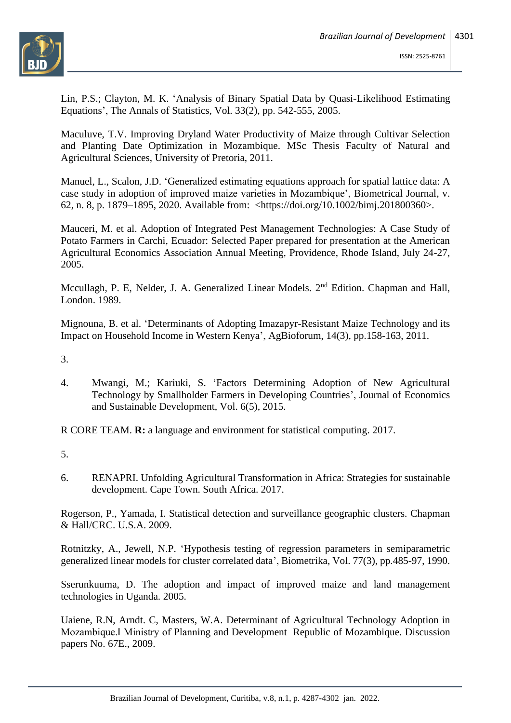

Lin, P.S.; Clayton, M. K. 'Analysis of Binary Spatial Data by Quasi-Likelihood Estimating Equations', The Annals of Statistics, Vol. 33(2), pp. 542-555, 2005.

Maculuve, T.V. Improving Dryland Water Productivity of Maize through Cultivar Selection and Planting Date Optimization in Mozambique. MSc Thesis Faculty of Natural and Agricultural Sciences, University of Pretoria, 2011.

Manuel, L., Scalon, J.D. 'Generalized estimating equations approach for spatial lattice data: A case study in adoption of improved maize varieties in Mozambique', Biometrical Journal, v. 62, n. 8, p. 1879–1895, 2020. Available from: [<https://doi.org/10.1002/bimj.201800360>](https://doi.org/10.1002/bimj.201800360).

Mauceri, M. et al. Adoption of Integrated Pest Management Technologies: A Case Study of Potato Farmers in Carchi, Ecuador: Selected Paper prepared for presentation at the American Agricultural Economics Association Annual Meeting, Providence, Rhode Island, July 24-27, 2005.

Mccullagh, P. E. Nelder, J. A. Generalized Linear Models. 2<sup>nd</sup> Edition. Chapman and Hall, London. 1989.

Mignouna, B. et al. 'Determinants of Adopting Imazapyr-Resistant Maize Technology and its Impact on Household Income in Western Kenya', AgBioforum, 14(3), pp.158-163, 2011.

3.

4. Mwangi, M.; Kariuki, S. 'Factors Determining Adoption of New Agricultural Technology by Smallholder Farmers in Developing Countries', Journal of Economics and Sustainable Development, Vol. 6(5), 2015.

R CORE TEAM. **R:** a language and environment for statistical computing. 2017.

- 5.
- 6. RENAPRI. Unfolding Agricultural Transformation in Africa: Strategies for sustainable development. Cape Town. South Africa. 2017.

Rogerson, P., Yamada, I. Statistical detection and surveillance geographic clusters. Chapman & Hall/CRC. U.S.A. 2009.

Rotnitzky, A., Jewell, N.P. 'Hypothesis testing of regression parameters in semiparametric generalized linear models for cluster correlated data', Biometrika, Vol. 77(3), pp.485-97, 1990.

Sserunkuuma, D. The adoption and impact of improved maize and land management technologies in Uganda. 2005.

Uaiene, R.N, Arndt. C, Masters, W.A. Determinant of Agricultural Technology Adoption in Mozambique.‖ Ministry of Planning and Development Republic of Mozambique. Discussion papers No. 67E., 2009.